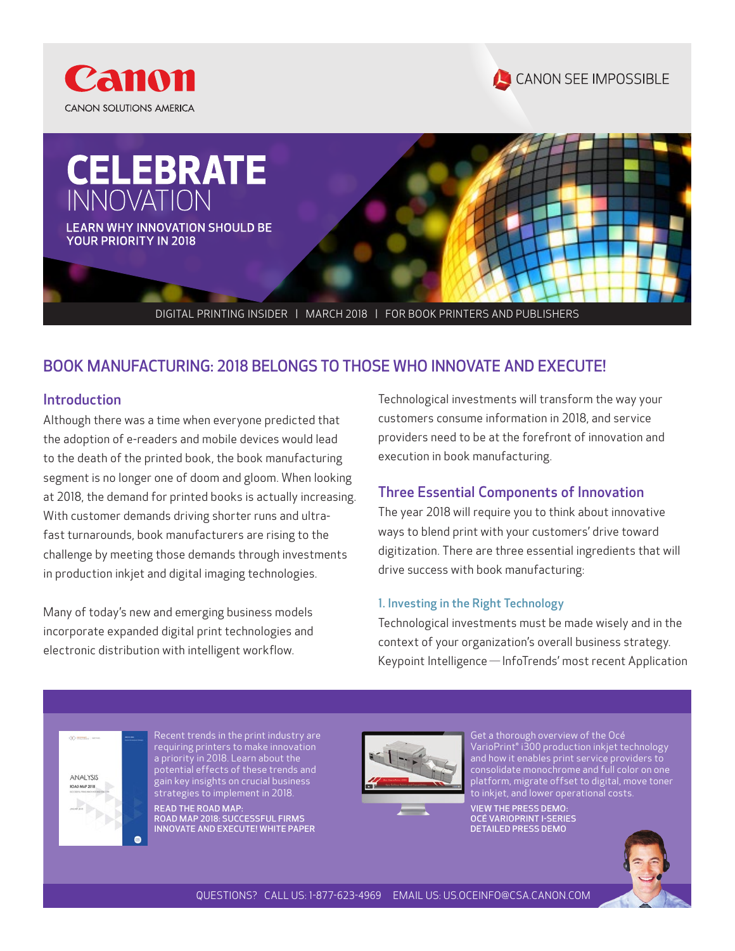





## BOOK MANUFACTURING: 2018 BELONGS TO THOSE WHO INNOVATE AND EXECUTE!

#### Introduction

Although there was a time when everyone predicted that the adoption of e-readers and mobile devices would lead to the death of the printed book, the book manufacturing segment is no longer one of doom and gloom. When looking at 2018, the demand for printed books is actually increasing. With customer demands driving shorter runs and ultrafast turnarounds, book manufacturers are rising to the challenge by meeting those demands through investments in production inkjet and digital imaging technologies.

Many of today's new and emerging business models incorporate expanded digital print technologies and electronic distribution with intelligent workflow.

Technological investments will transform the way your customers consume information in 2018, and service providers need to be at the forefront of innovation and execution in book manufacturing.

#### Three Essential Components of Innovation

The year 2018 will require you to think about innovative ways to blend print with your customers' drive toward digitization. There are three essential ingredients that will drive success with book manufacturing:

#### 1. Investing in the Right Technology

Technological investments must be made wisely and in the context of your organization's overall business strategy. Keypoint Intelligence *—*InfoTrends' most recent Application



Recent trends in the print industry are requiring printers to make innovation a priority in 2018. Learn about the potential effects of these trends and gain key insights on crucial business strategies to implement in 2018.

[READ THE ROAD MAP:](http://pps.csa.canon.com/resources/road-map-2018-successful-firms-innovate-and-execute-white-paper)  [ROAD MAP 2018: SUCCESSFUL FIRMS](http://pps.csa.canon.com/resources/road-map-2018-successful-firms-innovate-and-execute-white-paper)  [INNOVATE AND EXECUTE! WHITE PAPER](http://pps.csa.canon.com/resources/road-map-2018-successful-firms-innovate-and-execute-white-paper)



Get a thorough overview of the Océ VarioPrint® i300 production inkjet technology and how it enables print service providers to consolidate monochrome and full color on one platform, migrate offset to digital, move toner to inkjet, and lower operational costs.

[VIEW THE PRESS DEMO:](http://pps.csa.canon.com/resources/oce-varioprint-i-series-detailed-press-demo?button_redirect=PRESS-REG&event_label=PRESS-REG)  [OCÉ VARIOPRINT I-SERIES](http://pps.csa.canon.com/resources/oce-varioprint-i-series-detailed-press-demo?button_redirect=PRESS-REG&event_label=PRESS-REG)  [DETAILED PRESS DEMO](http://pps.csa.canon.com/resources/oce-varioprint-i-series-detailed-press-demo?button_redirect=PRESS-REG&event_label=PRESS-REG)

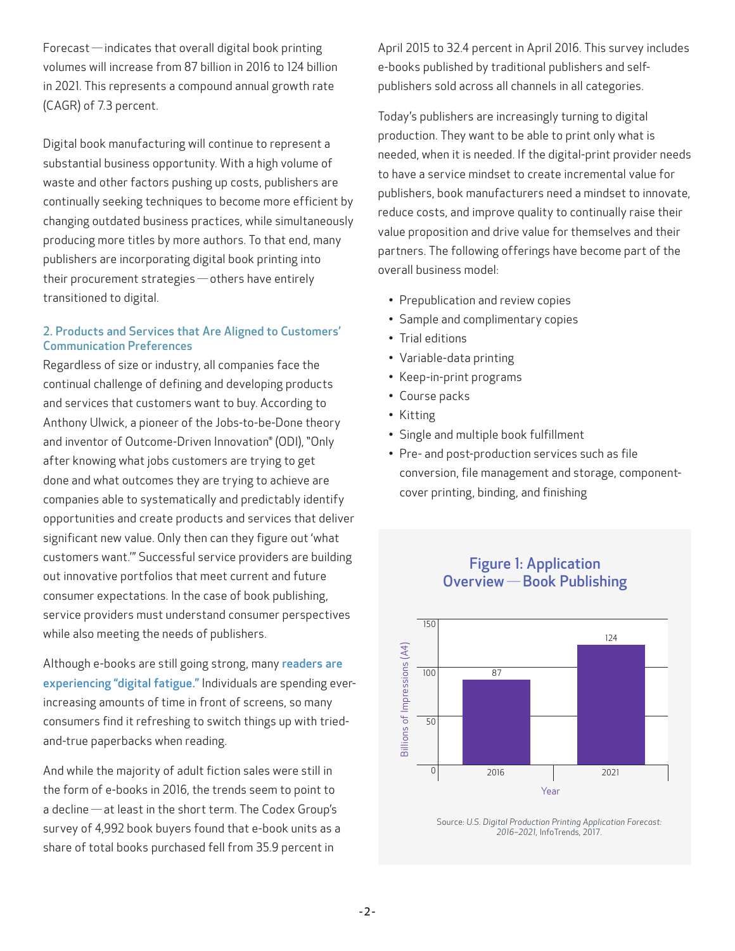Forecast *—*indicates that overall digital book printing volumes will increase from 87 billion in 2016 to 124 billion in 2021. This represents a compound annual growth rate (CAGR) of 7.3 percent.

Digital book manufacturing will continue to represent a substantial business opportunity. With a high volume of waste and other factors pushing up costs, publishers are continually seeking techniques to become more efficient by changing outdated business practices, while simultaneously producing more titles by more authors. To that end, many publishers are incorporating digital book printing into their procurement strategies *—* others have entirely transitioned to digital.

#### 2. Products and Services that Are Aligned to Customers' Communication Preferences

Regardless of size or industry, all companies face the continual challenge of defining and developing products and services that customers want to buy. According to Anthony Ulwick, a pioneer of the Jobs-to-be-Done theory and inventor of Outcome-Driven Innovation® (ODI), "Only after knowing what jobs customers are trying to get done and what outcomes they are trying to achieve are companies able to systematically and predictably identify opportunities and create products and services that deliver significant new value. Only then can they figure out 'what customers want.'" Successful service providers are building out innovative portfolios that meet current and future consumer expectations. In the case of book publishing, service providers must understand consumer perspectives while also meeting the needs of publishers.

Although e-books are still going strong, many readers are [experiencing "digital fatigue."](https://pressbooks.com/blog/2017-publishing-trends-for-authors-and-the-industry/) Individuals are spending everincreasing amounts of time in front of screens, so many consumers find it refreshing to switch things up with triedand-true paperbacks when reading.

And while the majority of adult fiction sales were still in the form of e-books in 2016, the trends seem to point to a decline *—* at least in the short term. The Codex Group's survey of 4,992 book buyers found that e-book units as a share of total books purchased fell from 35.9 percent in

April 2015 to 32.4 percent in April 2016. This survey includes e-books published by traditional publishers and selfpublishers sold across all channels in all categories.

Today's publishers are increasingly turning to digital production. They want to be able to print only what is needed, when it is needed. If the digital-print provider needs to have a service mindset to create incremental value for publishers, book manufacturers need a mindset to innovate, reduce costs, and improve quality to continually raise their value proposition and drive value for themselves and their partners. The following offerings have become part of the overall business model:

- Prepublication and review copies
- Sample and complimentary copies
- Trial editions
- Variable-data printing
- Keep-in-print programs
- Course packs
- Kitting
- Single and multiple book fulfillment
- Pre- and post-production services such as file conversion, file management and storage, componentcover printing, binding, and finishing

Figure 1: Application Overview *—* Book Publishing



Source: *U.S. Digital Production Printing Application Forecast: 2016–2021,* InfoTrends, 2017.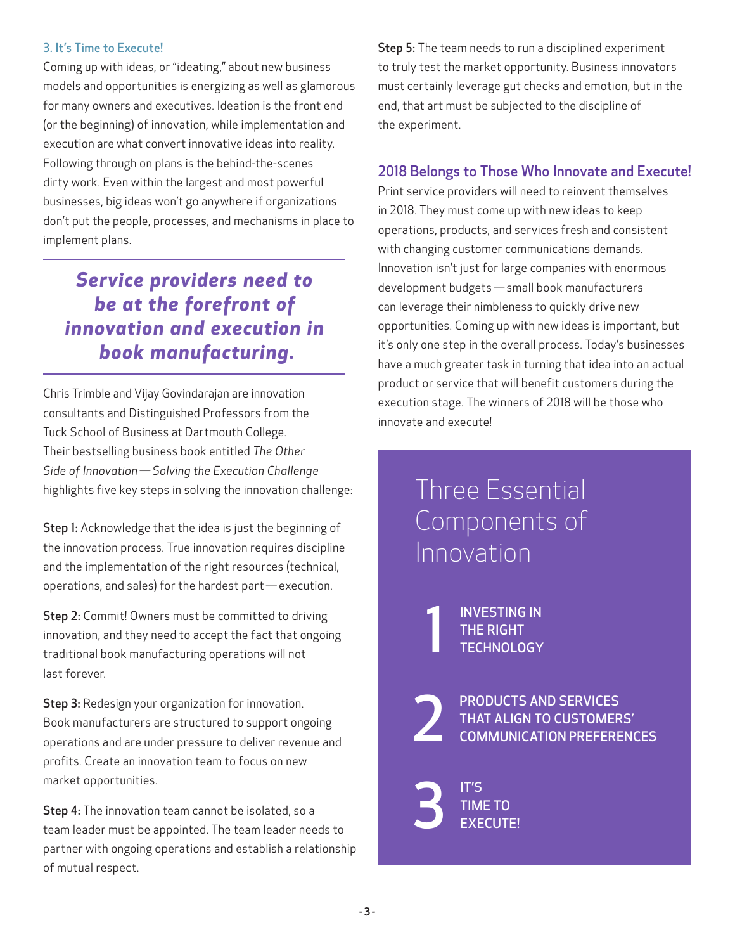#### 3. It's Time to Execute!

Coming up with ideas, or "ideating," about new business models and opportunities is energizing as well as glamorous for many owners and executives. Ideation is the front end (or the beginning) of innovation, while implementation and execution are what convert innovative ideas into reality. Following through on plans is the behind-the-scenes dirty work. Even within the largest and most powerful businesses, big ideas won't go anywhere if organizations don't put the people, processes, and mechanisms in place to implement plans.

## *Service providers need to be at the forefront of innovation and execution in book manufacturing.*

Chris Trimble and Vijay Govindarajan are innovation consultants and Distinguished Professors from the Tuck School of Business at Dartmouth College. Their bestselling business book entitled *The Other Side of Innovation — Solving the Execution Challenge* highlights five key steps in solving the innovation challenge:

Step 1: Acknowledge that the idea is just the beginning of the innovation process. True innovation requires discipline and the implementation of the right resources (technical, operations, and sales) for the hardest part - execution.

Step 2: Commit! Owners must be committed to driving innovation, and they need to accept the fact that ongoing traditional book manufacturing operations will not last forever.

Step 3: Redesign your organization for innovation. Book manufacturers are structured to support ongoing operations and are under pressure to deliver revenue and profits. Create an innovation team to focus on new market opportunities.

Step 4: The innovation team cannot be isolated, so a team leader must be appointed. The team leader needs to partner with ongoing operations and establish a relationship of mutual respect.

Step 5: The team needs to run a disciplined experiment to truly test the market opportunity. Business innovators must certainly leverage gut checks and emotion, but in the end, that art must be subjected to the discipline of the experiment.

### 2018 Belongs to Those Who Innovate and Execute!

Print service providers will need to reinvent themselves in 2018. They must come up with new ideas to keep operations, products, and services fresh and consistent with changing customer communications demands. Innovation isn't just for large companies with enormous development budgets — small book manufacturers can leverage their nimbleness to quickly drive new opportunities. Coming up with new ideas is important, but it's only one step in the overall process. Today's businesses have a much greater task in turning that idea into an actual product or service that will benefit customers during the execution stage. The winners of 2018 will be those who innovate and execute!

# Three Essential Components of Innovation

INVESTING IN<br>THE RIGHT<br>TECHNOLOGY THE RIGHT TECHNOLOGY

PRODUCTS AND SERVICES<br>THAT ALIGN TO CUSTOMER<br>COMMUNICATION PREFERE THAT ALIGN TO CUSTOMERS' COMMUNICATION PREFERENCES

**3** TIME TO **EXECUTE!**